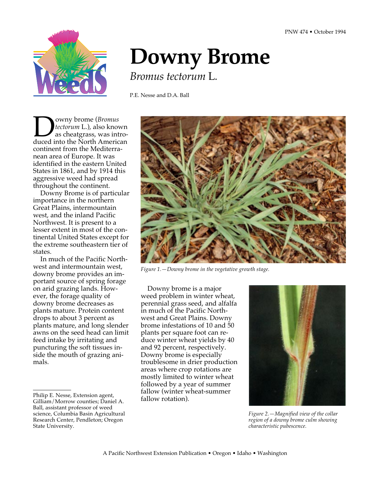

# **Downy Brome**

*Bromus tectorum* L*.*

P.E. Nesse and D.A. Ball

**DO** owny brome (*Bromus*<br>
as cheatgrass, was intro-<br>
duced into the North American *tectorum* L.), also known as cheatgrass, was introcontinent from the Mediterranean area of Europe. It was identified in the eastern United States in 1861, and by 1914 this aggressive weed had spread throughout the continent.

Downy Brome is of particular importance in the northern Great Plains, intermountain west, and the inland Pacific Northwest. It is present to a lesser extent in most of the continental United States except for the extreme southeastern tier of states.

In much of the Pacific Northwest and intermountain west, downy brome provides an important source of spring forage on arid grazing lands. However, the forage quality of downy brome decreases as plants mature. Protein content drops to about 3 percent as plants mature, and long slender awns on the seed head can limit feed intake by irritating and puncturing the soft tissues inside the mouth of grazing animals.



*Figure 1.—Downy brome in the vegetative growth stage.*

Downy brome is a major weed problem in winter wheat, perennial grass seed, and alfalfa in much of the Pacific Northwest and Great Plains. Downy brome infestations of 10 and 50 plants per square foot can reduce winter wheat yields by 40 and 92 percent, respectively. Downy brome is especially troublesome in drier production areas where crop rotations are mostly limited to winter wheat followed by a year of summer fallow (winter wheat-summer fallow rotation).



*Figure 2.—Magnified view of the collar region of a downy brome culm showing characteristic pubescence.*

Philip E. Nesse, Extension agent, Gilliam/Morrow counties; Daniel A. Ball, assistant professor of weed science, Columbia Basin Agricultural Research Center, Pendleton; Oregon State University.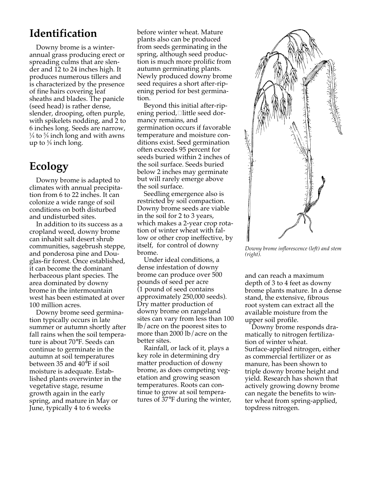## **Identification**

Downy brome is a winterannual grass producing erect or spreading culms that are slender and 12 to 24 inches high. It produces numerous tillers and is characterized by the presence of fine hairs covering leaf sheaths and blades. The panicle (seed head) is rather dense, slender, drooping, often purple, with spikelets nodding, and 2 to 6 inches long. Seeds are narrow,  $\frac{1}{4}$  to  $\frac{5}{8}$  inch long and with awns up to 5 ⁄8 inch long.

#### **Ecology**

Downy brome is adapted to climates with annual precipitation from 6 to 22 inches. It can colonize a wide range of soil conditions on both disturbed and undisturbed sites.

In addition to its success as a cropland weed, downy brome can inhabit salt desert shrub communities, sagebrush steppe, and ponderosa pine and Douglas-fir forest. Once established, it can become the dominant herbaceous plant species. The area dominated by downy brome in the intermountain west has been estimated at over 100 million acres.

Downy brome seed germination typically occurs in late summer or autumn shortly after fall rains when the soil temperature is about 70°F. Seeds can continue to germinate in the autumn at soil temperatures between 35 and 40°F if soil moisture is adequate. Established plants overwinter in the vegetative stage, resume growth again in the early spring, and mature in May or June, typically 4 to 6 weeks

before winter wheat. Mature plants also can be produced from seeds germinating in the spring, although seed production is much more prolific from autumn germinating plants. Newly produced downy brome seed requires a short after-ripening period for best germination.

Beyond this initial after-ripening period,□ little seed dormancy remains, and germination occurs if favorable temperature and moisture conditions exist. Seed germination often exceeds 95 percent for seeds buried within 2 inches of the soil surface. Seeds buried below 2 inches may germinate but will rarely emerge above the soil surface.

Seedling emergence also is restricted by soil compaction. Downy brome seeds are viable in the soil for 2 to 3 years, which makes a 2-year crop rotation of winter wheat with fallow or other crop ineffective, by itself, for control of downy brome.

Under ideal conditions, a dense infestation of downy brome can produce over 500 pounds of seed per acre (1 pound of seed contains approximately 250,000 seeds). Dry matter production of downy brome on rangeland sites can vary from less than 100 lb/acre on the poorest sites to more than 2000 lb/acre on the better sites.

Rainfall, or lack of it, plays a key role in determining dry matter production of downy brome, as does competing vegetation and growing season temperatures. Roots can continue to grow at soil temperatures of 37°F during the winter,



*Downy brome inflorescence (left) and stem (right).*

and can reach a maximum depth of 3 to 4 feet as downy brome plants mature. In a dense stand, the extensive, fibrous root system can extract all the available moisture from the upper soil profile.

Downy brome responds dramatically to nitrogen fertilization of winter wheat. Surface-applied nitrogen, either as commercial fertilizer or as manure, has been shown to triple downy brome height and yield. Research has shown that actively growing downy brome can negate the benefits to winter wheat from spring-applied, topdress nitrogen.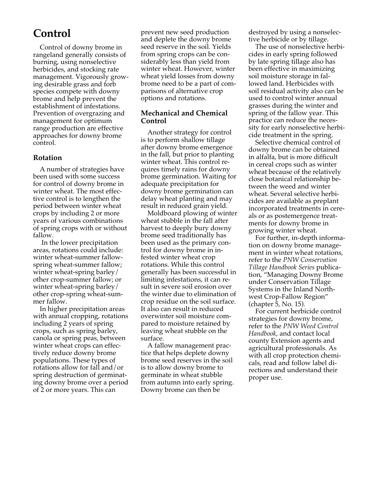## **Control**

Control of downy brome in rangeland generally consists of burning, using nonselective herbicides, and stocking rate management. Vigorously growing desirable grass and forb species compete with downy brome and help prevent the establishment of infestations. Prevention of overgrazing and management for optimum range production are effective approaches for downy brome control.

#### **Rotation**

A number of strategies have been used with some success for control of downy brome in winter wheat. The most effective control is to lengthen the period between winter wheat crops by including 2 or more years of various combinations of spring crops with or without fallow.

 In the lower precipitation areas, rotations could include: winter wheat-summer fallowspring wheat-summer fallow; winter wheat-spring barley/ other crop-summer fallow; or winter wheat-spring barley/ other crop-spring wheat-summer fallow.

In higher precipitation areas with annual cropping, rotations including 2 years of spring crops, such as spring barley, canola or spring peas, between winter wheat crops can effectively reduce downy brome populations. These types of rotations allow for fall and/or spring destruction of germinating downy brome over a period of 2 or more years. This can

prevent new seed production and deplete the downy brome seed reserve in the soil. Yields from spring crops can be considerably less than yield from winter wheat. However, winter wheat yield losses from downy brome need to be a part of comparisons of alternative crop options and rotations.

#### **Mechanical and Chemical Control**

Another strategy for control is to perform shallow tillage after downy brome emergence in the fall, but prior to planting winter wheat. This control requires timely rains for downy brome germination. Waiting for adequate precipitation for downy brome germination can delay wheat planting and may result in reduced grain yield.

Moldboard plowing of winter wheat stubble in the fall after harvest to deeply bury downy brome seed traditionally has been used as the primary control for downy brome in infested winter wheat crop rotations. While this control generally has been successful in limiting infestations, it can result in severe soil erosion over the winter due to elimination of crop residue on the soil surface. It also can result in reduced overwinter soil moisture compared to moisture retained by leaving wheat stubble on the surface.

A fallow management practice that helps deplete downy brome seed reserves in the soil is to allow downy brome to germinate in wheat stubble from autumn into early spring. Downy brome can then be

destroyed by using a nonselective herbicide or by tillage.

The use of nonselective herbicides in early spring followed by late spring tillage also has been effective in maximizing soil moisture storage in fallowed land. Herbicides with soil residual activity also can be used to control winter annual grasses during the winter and spring of the fallow year. This practice can reduce the necessity for early nonselective herbicide treatment in the spring.

Selective chemical control of downy brome can be obtained in alfalfa, but is more difficult in cereal crops such as winter wheat because of the relatively close botanical relationship between the weed and winter wheat. Several selective herbicides are available as preplant incorporated treatments in cereals or as postemergence treatments for downy brome in growing winter wheat.

For further, in-depth information on downy brome management in winter wheat rotations, refer to the *PNW Conservation Tillage Handbook Series* publication, "Managing Downy Brome under Conservation Tillage Systems in the Inland Northwest Crop-Fallow Region" (chapter 5, No. 15).

For current herbicide control strategies for downy brome, refer to the *PNW Weed Control Handbook*, and contact local county Extension agents and agricultural professionals. As with all crop protection chemicals, read and follow label directions and understand their proper use.